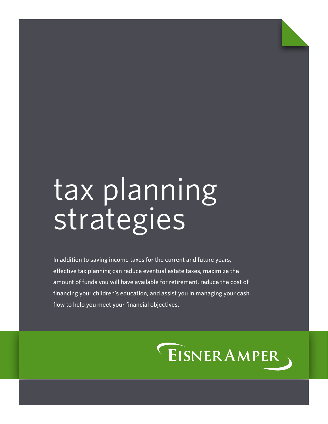# tax planning strategies

In addition to saving income taxes for the current and future years, effective tax planning can reduce eventual estate taxes, maximize the amount of funds you will have available for retirement, reduce the cost of financing your children's education, and assist you in managing your cash flow to help you meet your financial objectives.

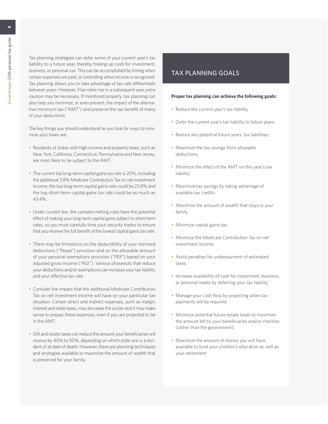Tax planning strategies can defer some of your current year's tax liability to a future year, thereby freeing up cash for investment, business, or personal use. This can be accomplished by timing when certain expenses are paid, or controlling when income is recognized. Tax planning allows you to take advantage of tax rate differentials between years. However, if tax rates rise in a subsequent year, extra caution may be necessary. If monitored properly, tax planning can also help you minimize, or even prevent, the impact of the alternative minimum tax ("AMT") and preserve the tax benefit of many of your deductions.

The key things you should understand as you look for ways to minimize your taxes are:

- Residents of states with high income and property taxes, such as New York, California, Connecticut, Pennsylvania and New Jersey, are most likely to be subject to the AMT.
- The current top long-term capital gains tax rate is 20%. Including the additional 3.8% Medicare Contribution Tax on net investment income, the top long-term capital gains rate could be 23.8% and the top short-term capital gains tax rate could be as much as 43.4%.
- Under current law, the complex netting rules have the potential effect of making your long-term capital gains subject to short-term rates, so you must carefully time your security trades to ensure that you receive the full benefit of the lowest capital gains tax rate.
- There may be limitations on the deductibility of your itemized deductions ("Pease") provision and on the allowable amount of your personal exemptions provision ("PEP") based on your adjusted gross income ("AGI"). Various phaseouts that reduce your deductions and/or exemptions can increase your tax liability and your effective tax rate.
- Consider the impact that the additional Medicare Contribution Tax on net investment income will have on your particular tax situation. Certain direct and indirect expenses, such as margin interest and state taxes, may decrease the surtax and it may make sense to prepay these expenses, even if you are projected to be in the AMT.
- Gift and estate taxes can reduce the amount your beneficiaries will receive by 40% to 50%, depending on which state one is a resident of at date of death. However, there are planning techniques and strategies available to maximize the amount of wealth that is preserved for your family.

# TAX PLANNING GOALS

#### **Proper tax planning can achieve the following goals:**

- Reduce the current year's tax liability.
- Defer the current year's tax liability to future years.
- Reduce any potential future years' tax liabilities.
- Maximize the tax savings from allowable deductions.
- Minimize the effect of the AMT on this year's tax liability.
- Maximize tax savings by taking advantage of available tax credits.
- Maximize the amount of wealth that stays in your family.
- Minimize capital gains tax.
- Minimize the Medicare Contribution Tax on net investment income.
- Avoid penalties for underpayment of estimated taxes.
- Increase availability of cash for investment, business, or personal needs by deferring your tax liability.
- Manage your cash flow by projecting when tax payments will be required.
- Minimize potential future estate taxes to maximize the amount left to your beneficiaries and/or charities (rather than the government).
- Maximize the amount of money you will have available to fund your children's education as well as your retirement.

 $\bullet$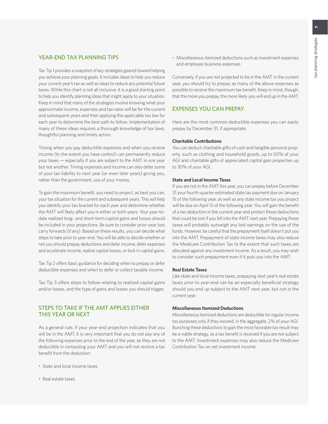#### YEAR-END TAX PLANNING TIPS

Tax Tip 1 provides a snapshot of key strategies geared toward helping you achieve your planning goals. It includes ideas to help you reduce your current year's tax as well as ideas to reduce any potential future taxes. While this chart is not all inclusive, it is a good starting point to help you identify planning ideas that might apply to your situation. Keep in mind that many of the strategies involve knowing what your approximate income, expenses and tax rates will be for the current and subsequent years and then applying the applicable tax law for each year to determine the best path to follow. Implementation of many of these ideas requires a thorough knowledge of tax laws, thoughtful planning and timely action.

Timing when you pay deductible expenses and when you receive income (to the extent you have control) can permanently reduce your taxes — especially if you are subject to the AMT in one year but not another. Timing expenses and income can also defer some of your tax liability to next year (or even later years) giving you, rather than the government, use of your money.

To gain the maximum benefit, you need to project, as best you can, your tax situation for the current and subsequent years. This will help you identify your tax bracket for each year and determine whether the AMT will likely affect you in either or both years. Your year-todate realized long- and short-term capital gains and losses should be included in your projections. Be sure to consider prior-year loss carry forwards (if any). Based on these results, you can decide what steps to take prior to year-end. You will be able to decide whether or not you should prepay deductions and defer income, defer expenses and accelerate income, realize capital losses, or lock in capital gains.

Tax Tip 2 offers basic guidance for deciding when to prepay or defer deductible expenses and when to defer or collect taxable income.

Tax Tip 3 offers steps to follow relating to realized capital gains and/or losses, and the type of gains and losses you should trigger.

#### STEPS TO TAKE IF THE AMT APPLIES EITHER THIS YEAR OR NEXT

As a general rule, if your year-end projection indicates that you will be in the AMT, it is very important that you do not pay any of the following expenses prior to the end of the year, as they are not deductible in computing your AMT and you will not receive a tax benefit from the deduction:

- State and local income taxes
- Real estate taxes

• Miscellaneous itemized deductions such as investment expenses and employee business expenses

Conversely, if you are not projected to be in the AMT in the current year, you should try to prepay as many of the above expenses as possible to receive the maximum tax benefit. Keep in mind, though, that the more you prepay, the more likely you will end up in the AMT.

#### EXPENSES YOU CAN PREPAY

Here are the most common deductible expenses you can easily prepay by December 31, if appropriate:

#### **Charitable Contributions**

You can deduct charitable gifts of cash and tangible personal property, such as clothing and household goods, up to 50% of your AGI and charitable gifts of appreciated capital gain properties up to 30% of your AGI.

#### **State and Local Income Taxes**

If you are not in the AMT this year, you can prepay before December 31 your fourth-quarter estimated state tax payment due on January 15 of the following year, as well as any state income tax you project will be due on April 15 of the following year. You will gain the benefit of a tax deduction in the current year and protect those deductions that could be lost if you fell into the AMT next year. Prepaying these taxes will probably outweigh any lost earnings on the use of the funds. However, be careful that the prepayment itself doesn't put you into the AMT. Prepayment of state income taxes may also reduce the Medicare Contribution Tax to the extent that such taxes are allocated against any investment income. As a result, you may wish to consider such prepayment even if it puts you into the AMT.

#### **Real Estate Taxes**

Like state and local income taxes, prepaying next year's real estate taxes prior to year-end can be an especially beneficial strategy should you end up subject to the AMT next year, but not in the current year.

#### **Miscellaneous Itemized Deductions**

Miscellaneous itemized deductions are deductible for regular income tax purposes only if they exceed, in the aggregate, 2% of your AGI. Bunching these deductions to gain the most favorable tax result may be a viable strategy, as a tax benefit is received if you are not subject to the AMT. Investment expenses may also reduce the Medicare Contribution Tax on net investment income.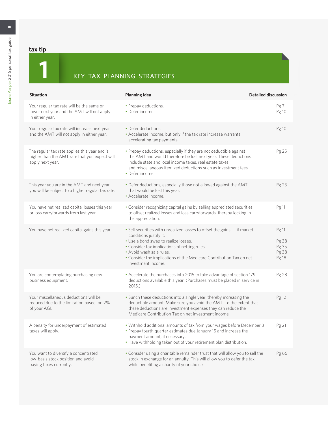# **tax tip**

# **1**<br>**1** KEY TAX PLANNING STRATEGIES

| <b>Situation</b>                                                                                                   | Planning idea                                                                                                                                                                                                                                                                                                        | <b>Detailed discussion</b>                |
|--------------------------------------------------------------------------------------------------------------------|----------------------------------------------------------------------------------------------------------------------------------------------------------------------------------------------------------------------------------------------------------------------------------------------------------------------|-------------------------------------------|
| Your regular tax rate will be the same or<br>lower next year and the AMT will not apply<br>in either year.         | • Prepay deductions.<br>• Defer income.                                                                                                                                                                                                                                                                              | Pg7<br>Pg 10                              |
| Your regular tax rate will increase next year<br>and the AMT will not apply in either year.                        | • Defer deductions.<br>• Accelerate income, but only if the tax rate increase warrants<br>accelerating tax payments.                                                                                                                                                                                                 | Pg 10                                     |
| The regular tax rate applies this year and is<br>higher than the AMT rate that you expect will<br>apply next year. | • Prepay deductions, especially if they are not deductible against<br>the AMT and would therefore be lost next year. These deductions<br>include state and local income taxes, real estate taxes,<br>and miscellaneous itemized deductions such as investment fees.<br>• Defer income.                               | Pg 25                                     |
| This year you are in the AMT and next year<br>you will be subject to a higher regular tax rate.                    | . Defer deductions, especially those not allowed against the AMT<br>that would be lost this year.<br>· Accelerate income.                                                                                                                                                                                            | Pg 23                                     |
| You have net realized capital losses this year<br>or loss carryforwards from last year.                            | • Consider recognizing capital gains by selling appreciated securities<br>to offset realized losses and loss carryforwards, thereby locking in<br>the appreciation.                                                                                                                                                  | Pg 11                                     |
| You have net realized capital gains this year.                                                                     | • Sell securities with unrealized losses to offset the gains – if market<br>conditions justify it.<br>• Use a bond swap to realize losses.<br>• Consider tax implications of netting rules.<br>• Avoid wash sale rules.<br>• Consider the implications of the Medicare Contribution Tax on net<br>investment income. | Pg 11<br>Pg 38<br>Pg 35<br>Pg 38<br>Pg 18 |
| You are contemplating purchasing new<br>business equipment.                                                        | • Accelerate the purchases into 2015 to take advantage of section 179<br>deductions available this year. (Purchases must be placed in service in<br>2015.                                                                                                                                                            | Pg 28                                     |
| Your miscellaneous deductions will be<br>reduced due to the limitation based on 2%<br>of your AGI.                 | • Bunch these deductions into a single year, thereby increasing the<br>deductible amount. Make sure you avoid the AMT. To the extent that<br>these deductions are investment expenses they can reduce the<br>Medicare Contribution Tax on net investment income.                                                     | Pg 12                                     |
| A penalty for underpayment of estimated<br>taxes will apply.                                                       | . Withhold additional amounts of tax from your wages before December 31.<br>• Prepay fourth quarter estimates due January 15 and increase the<br>payment amount, if necessary.<br>. Have withholding taken out of your retirement plan distribution.                                                                 | Pg 21                                     |
| You want to diversify a concentrated<br>low-basis stock position and avoid<br>paying taxes currently.              | . Consider using a charitable remainder trust that will allow you to sell the<br>stock in exchange for an annuity. This will allow you to defer the tax<br>while benefiting a charity of your choice.                                                                                                                | Pg 66                                     |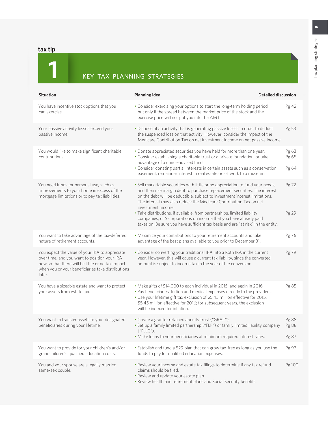# **tax tip**

# **1** KEY TAX PLANNING STRATEGIES

| <b>Situation</b>                                                                                                                                                                                                   | <b>Planning idea</b>                                                                                                                                                                                                                                                                                                                                                                                                                                                                                                                                                        | <b>Detailed discussion</b> |
|--------------------------------------------------------------------------------------------------------------------------------------------------------------------------------------------------------------------|-----------------------------------------------------------------------------------------------------------------------------------------------------------------------------------------------------------------------------------------------------------------------------------------------------------------------------------------------------------------------------------------------------------------------------------------------------------------------------------------------------------------------------------------------------------------------------|----------------------------|
| You have incentive stock options that you<br>can exercise.                                                                                                                                                         | . Consider exercising your options to start the long-term holding period,<br>but only if the spread between the market price of the stock and the<br>exercise price will not put you into the AMT.                                                                                                                                                                                                                                                                                                                                                                          | Pg 42                      |
| Your passive activity losses exceed your<br>passive income.                                                                                                                                                        | . Dispose of an activity that is generating passive losses in order to deduct<br>the suspended loss on that activity. However, consider the impact of the<br>Medicare Contribution Tax on net investment income on net passive income.                                                                                                                                                                                                                                                                                                                                      | Pg 53                      |
| You would like to make significant charitable<br>contributions.                                                                                                                                                    | . Donate appreciated securities you have held for more than one year.<br>• Consider establishing a charitable trust or a private foundation, or take<br>advantage of a donor-advised fund.<br>• Consider donating partial interests in certain assets such as a conservation<br>easement, remainder interest in real estate or art work to a museum.                                                                                                                                                                                                                        | Pg 63<br>Pg 65<br>Pg 64    |
| You need funds for personal use, such as<br>improvements to your home in excess of the<br>mortgage limitations or to pay tax liabilities.                                                                          | . Sell marketable securities with little or no appreciation to fund your needs,<br>and then use margin debt to purchase replacement securities. The interest<br>on the debt will be deductible, subject to investment interest limitations.<br>The interest may also reduce the Medicare Contribution Tax on net<br>investment income.<br>· Take distributions, if available, from partnerships, limited liability<br>companies, or S corporations on income that you have already paid<br>taxes on. Be sure you have sufficient tax basis and are "at risk" in the entity. | Pg 72<br>Pg 29             |
| You want to take advantage of the tax-deferred<br>nature of retirement accounts.                                                                                                                                   | . Maximize your contributions to your retirement accounts and take<br>advantage of the best plans available to you prior to December 31.                                                                                                                                                                                                                                                                                                                                                                                                                                    | Pg 76                      |
| You expect the value of your IRA to appreciate<br>over time, and you want to position your IRA<br>now so that there will be little or no tax impact<br>when you or your beneficiaries take distributions<br>later. | • Consider converting your traditional IRA into a Roth IRA in the current<br>year. However, this will cause a current tax liability, since the converted<br>amount is subject to income tax in the year of the conversion.                                                                                                                                                                                                                                                                                                                                                  | Pg 79                      |
| You have a sizeable estate and want to protect<br>your assets from estate tax.                                                                                                                                     | • Make gifts of \$14,000 to each individual in 2015, and again in 2016.<br>. Pay beneficiaries' tuition and medical expenses directly to the providers.<br>. Use your lifetime gift tax exclusion of \$5.43 million effective for 2015,<br>\$5.45 million effective for 2016; for subsequent years, the exclusion<br>will be indexed for inflation.                                                                                                                                                                                                                         | Pg 85                      |
| You want to transfer assets to your designated<br>beneficiaries during your lifetime.                                                                                                                              | • Create a grantor retained annuity trust ("GRAT").<br>• Set up a family limited partnership ("FLP") or family limited liability company<br>("FLLC").<br>. Make loans to your beneficiaries at minimum required interest rates.                                                                                                                                                                                                                                                                                                                                             | Pg 88<br>Pg 88<br>Pg 87    |
| You want to provide for your children's and/or<br>grandchildren's qualified education costs.                                                                                                                       | • Establish and fund a 529 plan that can grow tax-free as long as you use the<br>funds to pay for qualified education expenses.                                                                                                                                                                                                                                                                                                                                                                                                                                             | Pg 97                      |
| You and your spouse are a legally married<br>same-sex couple.                                                                                                                                                      | . Review your income and estate tax filings to determine if any tax refund<br>claims should be filed.<br>. Review and update your estate plan.<br>. Review health and retirement plans and Social Security benefits.                                                                                                                                                                                                                                                                                                                                                        | Pg 100                     |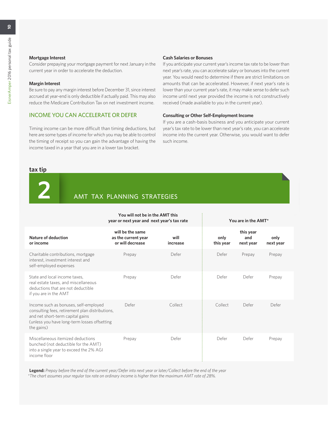#### **Mortgage Interest**

Consider prepaying your mortgage payment for next January in the current year in order to accelerate the deduction.

#### **Margin Interest**

Be sure to pay any margin interest before December 31, since interest accrued at year-end is only deductible if actually paid. This may also reduce the Medicare Contribution Tax on net investment income.

# INCOME YOU CAN ACCELERATE OR DEFER

Timing income can be more difficult than timing deductions, but here are some types of income for which you may be able to control the timing of receipt so you can gain the advantage of having the income taxed in a year that you are in a lower tax bracket.

#### **Cash Salaries or Bonuses**

If you anticipate your current year's income tax rate to be lower than next year's rate, you can accelerate salary or bonuses into the current year. You would need to determine if there are strict limitations on amounts that can be accelerated. However, if next year's rate is lower than your current year's rate, it may make sense to defer such income until next year provided the income is not constructively received (made available to you in the current year).

#### **Consulting or Other Self-Employment Income**

If you are a cash-basis business and you anticipate your current year's tax rate to be lower than next year's rate, you can accelerate income into the current year. Otherwise, you would want to defer such income.

#### **tax tip**



# **2** AMT TAX PLANNING STRATEGIES

|                                                                                                                                                                                            | You will not be in the AMT this<br>year or next year and next year's tax rate |                  |                   | You are in the AMT*           |                   |  |
|--------------------------------------------------------------------------------------------------------------------------------------------------------------------------------------------|-------------------------------------------------------------------------------|------------------|-------------------|-------------------------------|-------------------|--|
| Nature of deduction<br>or income                                                                                                                                                           | will be the same<br>as the current year<br>or will decrease                   | will<br>increase | only<br>this year | this year<br>and<br>next year | only<br>next year |  |
| Charitable contributions, mortgage<br>interest, investment interest and<br>self-employed expenses                                                                                          | Prepay                                                                        | Defer            | Defer             | Prepay                        | Prepay            |  |
| State and local income taxes.<br>real estate taxes, and miscellaneous<br>deductions that are not deductible<br>if you are in the AMT                                                       | Prepay                                                                        | Defer            | Defer             | Defer                         | Prepay            |  |
| Income such as bonuses, self-employed<br>consulting fees, retirement plan distributions,<br>and net short-term capital gains<br>(unless you have long-term losses offsetting<br>the gains) | Defer                                                                         | Collect          | Collect           | Defer                         | Defer             |  |
| Miscellaneous itemized deductions<br>bunched (not deductible for the AMT)<br>into a single year to exceed the 2% AGI<br>income floor                                                       | Prepay                                                                        | Defer            | Defer             | Defer                         | Prepay            |  |

**Legend:** *Prepay before the end of the current year/Defer into next year or later/Collect before the end of the year \*The chart assumes your regular tax rate on ordinary income is higher than the maximum AMT rate of 28%.*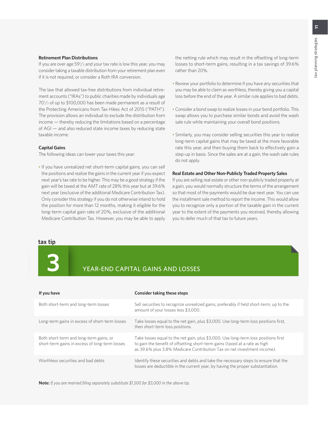#### **Retirement Plan Distributions**

If you are over age 59<sup>1</sup>/<sub>2</sub> and your tax rate is low this year, you may consider taking a taxable distribution from your retirement plan even if it is not required, or consider a Roth IRA conversion.

The law that allowed tax-free distributions from individual retirement accounts ("IRAs") to public charities made by individuals age 701 /2 of up to \$100,000 has been made permanent as a result of the Protecting Americans from Tax Hikes Act of 2015 ("PATH"). The provision allows an individual to exclude the distribution from income — thereby reducing the limitations based on a percentage of AGI — and also reduced state income taxes by reducing state taxable income.

#### **Capital Gains**

The following ideas can lower your taxes this year:

• If you have unrealized net short-term capital gains, you can sell the positions and realize the gains in the current year if you expect next year's tax rate to be higher. This may be a good strategy if the gain will be taxed at the AMT rate of 28% this year but at 39.6% next year (exclusive of the additional Medicare Contribution Tax). Only consider this strategy if you do not otherwise intend to hold the position for more than 12 months, making it eligible for the long-term capital gain rate of 20%, exclusive of the additional Medicare Contribution Tax. However, you may be able to apply

the netting rule which may result in the offsetting of long-term losses to short-term gains, resulting in a tax savings of 39.6% rather than 20%.

- Review your portfolio to determine if you have any securities that you may be able to claim as worthless, thereby giving you a capital loss before the end of the year. A similar rule applies to bad debts.
- Consider a bond swap to realize losses in your bond portfolio. This swap allows you to purchase similar bonds and avoid the wash sale rule while maintaining your overall bond positions.
- Similarly, you may consider selling securities this year to realize long-term capital gains that may be taxed at the more favorable rate this year, and then buying them back to effectively gain a step-up in basis. Since the sales are at a gain, the wash sale rules do not apply.

#### **Real Estate and Other Non-Publicly Traded Property Sales**

If you are selling real estate or other non-publicly traded property at a gain, you would normally structure the terms of the arrangement so that most of the payments would be due next year. You can use the installment sale method to report the income. This would allow you to recognize only a portion of the taxable gain in the current year to the extent of the payments you received, thereby allowing you to defer much of that tax to future years.

#### **tax tip**

# **3** YEAR-END CAPITAL GAINS AND LOSSES

| If you have                                                                               | Consider taking these steps                                                                                                                                                                                                                   |
|-------------------------------------------------------------------------------------------|-----------------------------------------------------------------------------------------------------------------------------------------------------------------------------------------------------------------------------------------------|
| Both short-term and long-term losses                                                      | Sell securities to recognize unrealized gains, preferably if held short-term, up to the<br>amount of your losses less \$3,000.                                                                                                                |
| Long-term gains in excess of short-term losses                                            | Take losses equal to the net gain, plus \$3,000. Use long-term loss positions first,<br>then short-term loss positions.                                                                                                                       |
| Both short-term and long-term gains, or<br>short-term gains in excess of long-term losses | Take losses equal to the net gain, plus \$3,000. Use long-term loss positions first<br>to gain the benefit of offsetting short-term gains (taxed at a rate as high<br>as 39.6% plus 3.8% Medicare Contribution Tax on net investment income). |
| Worthless securities and bad debts                                                        | Identify these securities and debts and take the necessary steps to ensure that the<br>losses are deductible in the current year, by having the proper substantiation.                                                                        |

**Note:** *If you are married filing separately substitute \$1,500 for \$3,000 in the above tip.*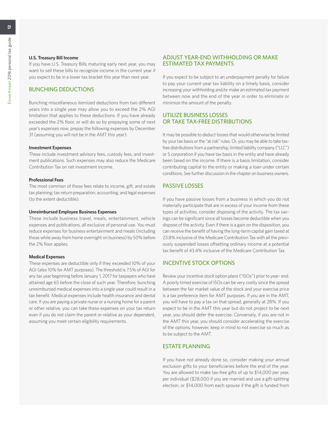If you have U.S. Treasury Bills maturing early next year, you may want to sell these bills to recognize income in the current year if you expect to be in a lower tax bracket this year than next year.

#### BUNCHING DEDUCTIONS

Bunching miscellaneous itemized deductions from two different years into a single year may allow you to exceed the 2% AGI limitation that applies to these deductions. If you have already exceeded the 2% floor, or will do so by prepaying some of next year's expenses now, prepay the following expenses by December 31 (assuming you will not be in the AMT this year):

#### **Investment Expenses**

These include investment advisory fees, custody fees, and investment publications. Such expenses may also reduce the Medicare Contribution Tax on net investment income.

#### **Professional Fees**

The most common of these fees relate to income, gift, and estate tax planning; tax return preparation; accounting; and legal expenses (to the extent deductible).

#### **Unreimbursed Employee Business Expenses**

These include business travel, meals, entertainment, vehicle expenses and publications, all exclusive of personal use. You must reduce expenses for business entertainment and meals (including those while away from home overnight on business) by 50% before the 2% floor applies.

#### **Medical Expenses**

These expenses are deductible only if they exceeded 10% of your AGI (also 10% for AMT purposes). The threshold is 7.5% of AGI for any tax year beginning before January 1, 2017 for taxpayers who have attained age 65 before the close of such year. Therefore, bunching unreimbursed medical expenses into a single year could result in a tax benefit. Medical expenses include health insurance and dental care. If you are paying a private nurse or a nursing home for a parent or other relative, you can take these expenses on your tax return even if you do not claim the parent or relative as your dependent, assuming you meet certain eligibility requirements.

#### ADJUST YEAR-END WITHHOLDING OR MAKE ESTIMATED TAX PAYMENTS

If you expect to be subject to an underpayment penalty for failure to pay your current-year tax liability on a timely basis, consider increasing your withholding and/or make an estimated tax payment between now and the end of the year in order to eliminate or minimize the amount of the penalty.

#### UTILIZE BUSINESS LOSSES OR TAKE TAX-FREE DISTRIBUTIONS

It may be possible to deduct losses that would otherwise be limited by your tax basis or the "at risk" rules. Or, you may be able to take taxfree distributions from a partnership, limited liability company ("LLC") or S corporation if you have tax basis in the entity and have already been taxed on the income. If there is a basis limitation, consider contributing capital to the entity or making a loan under certain conditions. See further discussion in the chapter on business owners.

#### PASSIVE LOSSES

If you have passive losses from a business in which you do not materially participate that are in excess of your income from these types of activities, consider disposing of the activity. The tax savings can be significant since all losses become deductible when you dispose of the activity. Even if there is a gain on the disposition, you can receive the benefit of having the long-term capital gain taxed at 23.8% inclusive of the Medicare Contribution Tax with all the previously suspended losses offsetting ordinary income at a potential tax benefit of 43.4% inclusive of the Medicare Contribution Tax.

#### INCENTIVE STOCK OPTIONS

Review your incentive stock option plans ("ISOs") prior to year- end. A poorly timed exercise of ISOs can be very costly since the spread between the fair market value of the stock and your exercise price is a tax preference item for AMT purposes. If you are in the AMT, you will have to pay a tax on that spread, generally at 28%. If you expect to be in the AMT this year but do not project to be next year, you should defer the exercise. Conversely, if you are not in the AMT this year, you should consider accelerating the exercise of the options; however, keep in mind to not exercise so much as to be subject to the AMT.

#### ESTATE PLANNING

If you have not already done so, consider making your annual exclusion gifts to your beneficiaries before the end of the year. You are allowed to make tax-free gifts of up to \$14,000 per year, per individual (\$28,000 if you are married and use a gift-splitting election, or \$14,000 from each spouse if the gift is funded from